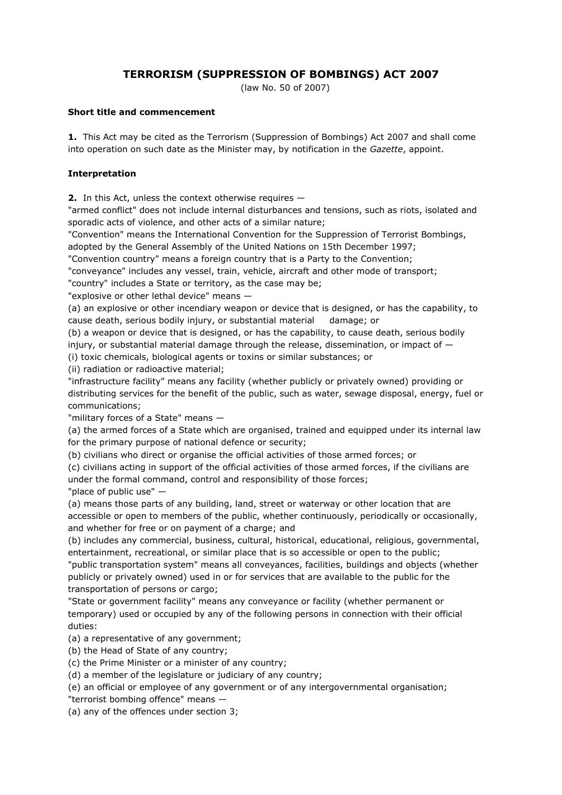# **TERRORISM (SUPPRESSION OF BOMBINGS) ACT 2007**

(law No. 50 of 2007)

#### **Short title and commencement**

**1.** This Act may be cited as the Terrorism (Suppression of Bombings) Act 2007 and shall come into operation on such date as the Minister may, by notification in the *Gazette*, appoint.

### **Interpretation**

**2.** In this Act, unless the context otherwise requires —

"armed conflict" does not include internal disturbances and tensions, such as riots, isolated and sporadic acts of violence, and other acts of a similar nature;

"Convention" means the International Convention for the Suppression of Terrorist Bombings, adopted by the General Assembly of the United Nations on 15th December 1997;

"Convention country" means a foreign country that is a Party to the Convention;

"conveyance" includes any vessel, train, vehicle, aircraft and other mode of transport;

"country" includes a State or territory, as the case may be;

"explosive or other lethal device" means —

(a) an explosive or other incendiary weapon or device that is designed, or has the capability, to cause death, serious bodily injury, or substantial material damage; or

(b) a weapon or device that is designed, or has the capability, to cause death, serious bodily injury, or substantial material damage through the release, dissemination, or impact of  $-$ 

(i) toxic chemicals, biological agents or toxins or similar substances; or

(ii) radiation or radioactive material;

"infrastructure facility" means any facility (whether publicly or privately owned) providing or distributing services for the benefit of the public, such as water, sewage disposal, energy, fuel or communications;

"military forces of a State" means —

(a) the armed forces of a State which are organised, trained and equipped under its internal law for the primary purpose of national defence or security;

(b) civilians who direct or organise the official activities of those armed forces; or

(c) civilians acting in support of the official activities of those armed forces, if the civilians are under the formal command, control and responsibility of those forces;

"place of public use" —

(a) means those parts of any building, land, street or waterway or other location that are accessible or open to members of the public, whether continuously, periodically or occasionally, and whether for free or on payment of a charge; and

(b) includes any commercial, business, cultural, historical, educational, religious, governmental, entertainment, recreational, or similar place that is so accessible or open to the public;

"public transportation system" means all conveyances, facilities, buildings and objects (whether publicly or privately owned) used in or for services that are available to the public for the transportation of persons or cargo;

"State or government facility" means any conveyance or facility (whether permanent or temporary) used or occupied by any of the following persons in connection with their official duties:

(a) a representative of any government;

(b) the Head of State of any country;

(c) the Prime Minister or a minister of any country;

(d) a member of the legislature or judiciary of any country;

(e) an official or employee of any government or of any intergovernmental organisation; "terrorist bombing offence" means —

(a) any of the offences under section 3;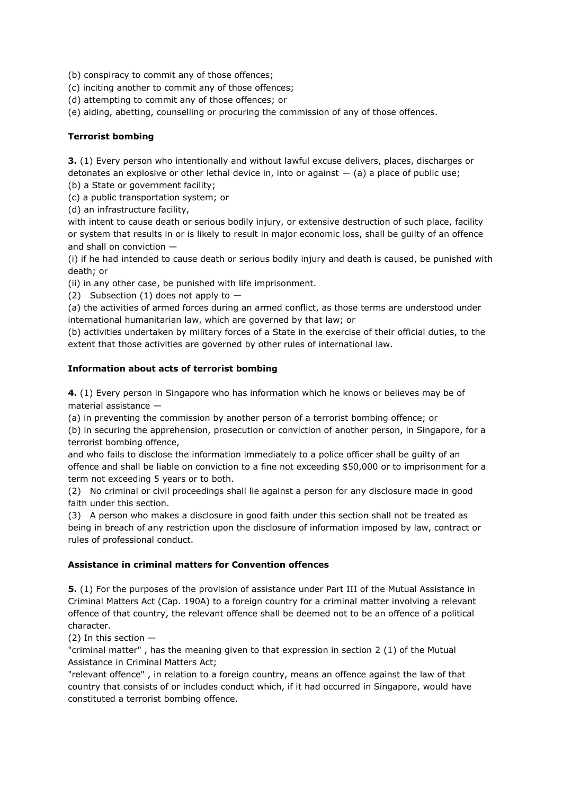(b) conspiracy to commit any of those offences;

(c) inciting another to commit any of those offences;

(d) attempting to commit any of those offences; or

(e) aiding, abetting, counselling or procuring the commission of any of those offences.

### **Terrorist bombing**

**3.** (1) Every person who intentionally and without lawful excuse delivers, places, discharges or detonates an explosive or other lethal device in, into or against  $-$  (a) a place of public use;

(b) a State or government facility;

(c) a public transportation system; or

(d) an infrastructure facility,

with intent to cause death or serious bodily injury, or extensive destruction of such place, facility or system that results in or is likely to result in major economic loss, shall be guilty of an offence and shall on conviction —

(i) if he had intended to cause death or serious bodily injury and death is caused, be punished with death; or

(ii) in any other case, be punished with life imprisonment.

(2) Subsection (1) does not apply to  $-$ 

(a) the activities of armed forces during an armed conflict, as those terms are understood under international humanitarian law, which are governed by that law; or

(b) activities undertaken by military forces of a State in the exercise of their official duties, to the extent that those activities are governed by other rules of international law.

### **Information about acts of terrorist bombing**

**4.** (1) Every person in Singapore who has information which he knows or believes may be of material assistance —

(a) in preventing the commission by another person of a terrorist bombing offence; or

(b) in securing the apprehension, prosecution or conviction of another person, in Singapore, for a terrorist bombing offence,

and who fails to disclose the information immediately to a police officer shall be guilty of an offence and shall be liable on conviction to a fine not exceeding \$50,000 or to imprisonment for a term not exceeding 5 years or to both.

(2) No criminal or civil proceedings shall lie against a person for any disclosure made in good faith under this section.

(3) A person who makes a disclosure in good faith under this section shall not be treated as being in breach of any restriction upon the disclosure of information imposed by law, contract or rules of professional conduct.

## **Assistance in criminal matters for Convention offences**

**5.** (1) For the purposes of the provision of assistance under Part III of the Mutual Assistance in Criminal Matters Act (Cap. 190A) to a foreign country for a criminal matter involving a relevant offence of that country, the relevant offence shall be deemed not to be an offence of a political character.

(2) In this section —

"criminal matter" , has the meaning given to that expression in section 2 (1) of the Mutual Assistance in Criminal Matters Act;

"relevant offence" , in relation to a foreign country, means an offence against the law of that country that consists of or includes conduct which, if it had occurred in Singapore, would have constituted a terrorist bombing offence.